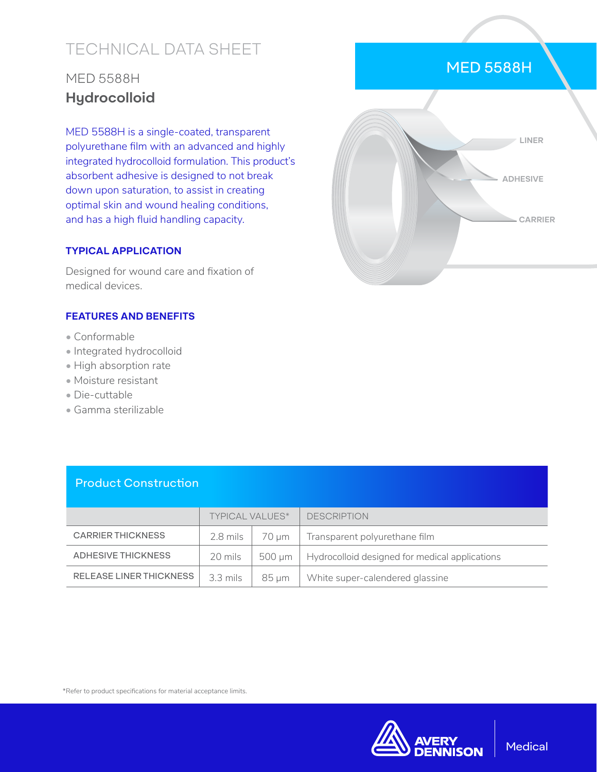# TECHNICAL DATA SHEET

## MED 5588H **Hydrocolloid**

MED 5588H is a single-coated, transparent polyurethane film with an advanced and highly integrated hydrocolloid formulation. This product's absorbent adhesive is designed to not break down upon saturation, to assist in creating optimal skin and wound healing conditions, and has a high fluid handling capacity.

### **TYPICAL APPLICATION**

Designed for wound care and fixation of medical devices.

### **FEATURES AND BENEFITS**

- Conformable
- Integrated hydrocolloid
- High absorption rate
- Moisture resistant
- Die-cuttable
- Gamma sterilizable



MED 5588H

### Product Construction

|                          | <b>TYPICAL VALUES*</b> |        | <b>DESCRIPTION</b>                             |
|--------------------------|------------------------|--------|------------------------------------------------|
| <b>CARRIER THICKNESS</b> | 2.8 mils               | 70 um  | Transparent polyurethane film                  |
| ADHESIVE THICKNESS       | 20 mils                | 500 um | Hydrocolloid designed for medical applications |
| RELEASE LINER THICKNESS  | $3.3 \text{ miles}$    | 85 um  | White super-calendered glassine                |